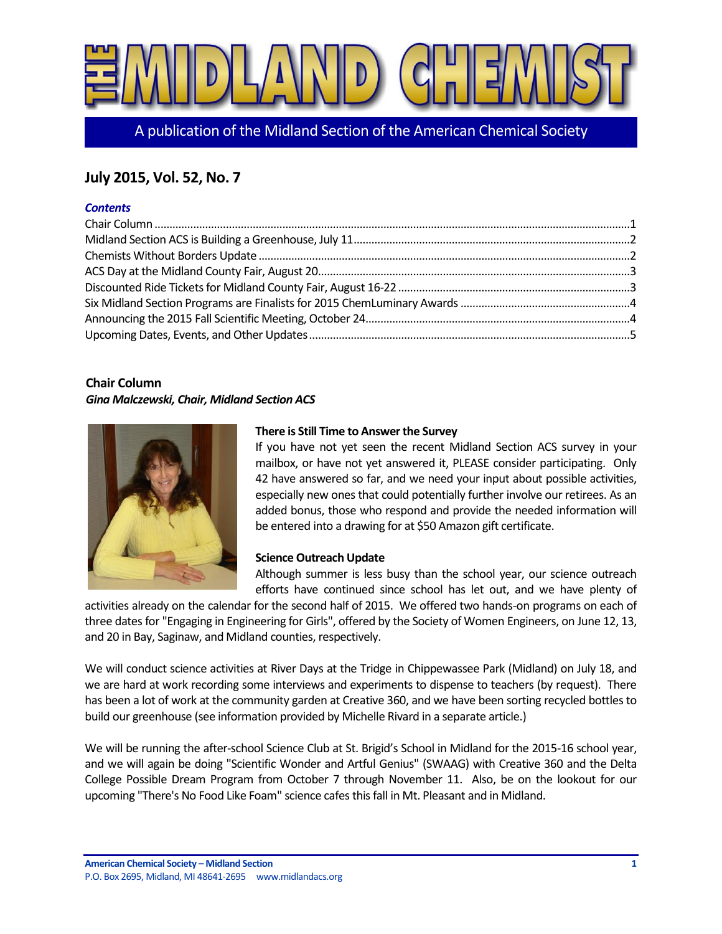

A publication of the Midland Section of the American Chemical Society

## **July 2015, Vol. 52, No. 7**

#### *Contents*

#### <span id="page-0-0"></span>**Chair Column**

#### *Gina Malczewski, Chair, Midland Section ACS*



#### **There is Still Time to Answer the Survey**

If you have not yet seen the recent Midland Section ACS survey in your mailbox, or have not yet answered it, PLEASE consider participating. Only 42 have answered so far, and we need your input about possible activities, especially new ones that could potentially further involve our retirees. As an added bonus, those who respond and provide the needed information will be entered into a drawing for at \$50 Amazon gift certificate.

#### **Science Outreach Update**

Although summer is less busy than the school year, our science outreach efforts have continued since school has let out, and we have plenty of

activities already on the calendar for the second half of 2015. We offered two hands-on programs on each of three dates for "Engaging in Engineering for Girls", offered by the Society of Women Engineers, on June 12, 13, and 20 in Bay, Saginaw, and Midland counties, respectively.

We will conduct science activities at River Days at the Tridge in Chippewassee Park (Midland) on July 18, and we are hard at work recording some interviews and experiments to dispense to teachers (by request). There has been a lot of work at the community garden at Creative 360, and we have been sorting recycled bottles to build our greenhouse (see information provided by Michelle Rivard in a separate article.)

We will be running the after-school Science Club at St. Brigid's School in Midland for the 2015-16 school year, and we will again be doing "Scientific Wonder and Artful Genius" (SWAAG) with Creative 360 and the Delta College Possible Dream Program from October 7 through November 11. Also, be on the lookout for our upcoming "There's No Food Like Foam" science cafes this fall in Mt. Pleasant and in Midland.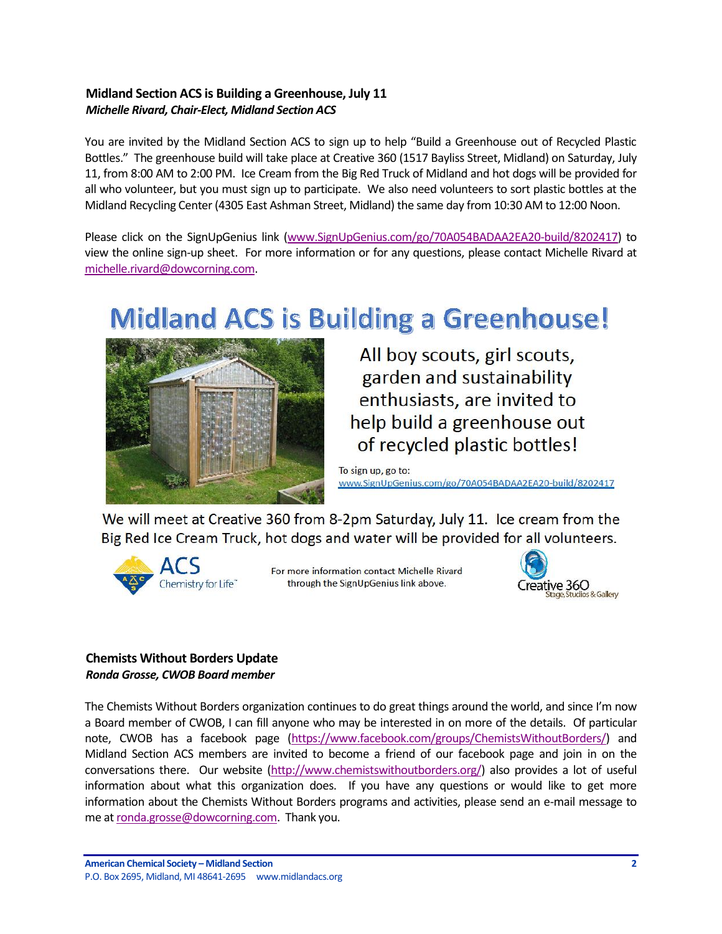#### <span id="page-1-0"></span>**Midland Section ACS is Building a Greenhouse, July 11** *Michelle Rivard, Chair-Elect, Midland Section ACS*

You are invited by the Midland Section ACS to sign up to help "Build a Greenhouse out of Recycled Plastic Bottles." The greenhouse build will take place at Creative 360 (1517 Bayliss Street, Midland) on Saturday, July 11, from 8:00 AM to 2:00 PM. Ice Cream from the Big Red Truck of Midland and hot dogs will be provided for all who volunteer, but you must sign up to participate. We also need volunteers to sort plastic bottles at the Midland Recycling Center (4305 East Ashman Street, Midland) the same day from 10:30 AM to 12:00 Noon.

Please click on the SignUpGenius link [\(www.SignUpGenius.com/go/70A054BADAA2EA20-build/8202417\)](http://www.signupgenius.com/go/70A054BADAA2EA20-build/8202417) to view the online sign-up sheet. For more information or for any questions, please contact Michelle Rivard at [michelle.rivard@dowcorning.com.](mailto:michelle.rivard@dowcorning.com)

# **Midland ACS is Building a Greenhouse!**



All boy scouts, girl scouts, garden and sustainability enthusiasts, are invited to help build a greenhouse out of recycled plastic bottles!

To sign up, go to: www.SignUpGenius.com/go/70A054BADAA2EA20-build/8202417

We will meet at Creative 360 from 8-2pm Saturday, July 11. Ice cream from the Big Red Ice Cream Truck, hot dogs and water will be provided for all volunteers.



For more information contact Michelle Rivard through the SignUpGenius link above.



#### <span id="page-1-1"></span>**Chemists Without Borders Update** *Ronda Grosse, CWOB Board member*

The Chemists Without Borders organization continues to do great things around the world, and since I'm now a Board member of CWOB, I can fill anyone who may be interested in on more of the details. Of particular note, CWOB has a facebook page [\(https://www.facebook.com/groups/ChemistsWithoutBorders/\)](https://www.facebook.com/groups/ChemistsWithoutBorders/) and Midland Section ACS members are invited to become a friend of our facebook page and join in on the conversations there. Our website [\(http://www.chemistswithoutborders.org/\)](http://www.chemistswithoutborders.org/) also provides a lot of useful information about what this organization does. If you have any questions or would like to get more information about the Chemists Without Borders programs and activities, please send an e-mail message to me a[t ronda.grosse@dowcorning.com.](mailto:ronda.grosse@dowcorning.com) Thank you.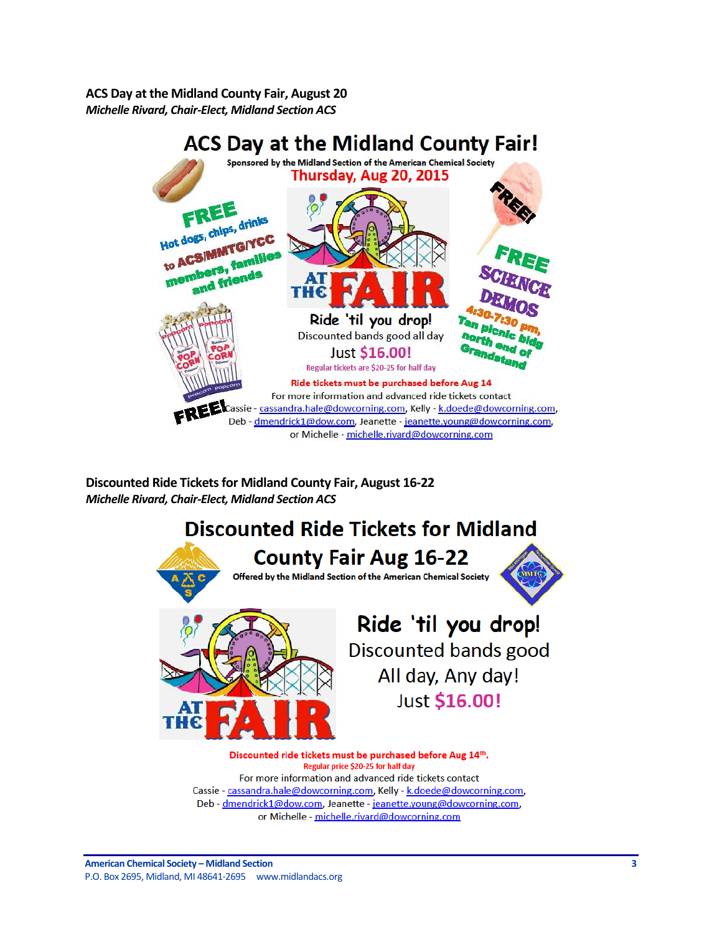<span id="page-2-0"></span>**ACS Day at the Midland County Fair, August 20** *Michelle Rivard, Chair-Elect, Midland Section ACS*



<span id="page-2-1"></span>**Discounted Ride Tickets for Midland County Fair, August 16-22** *Michelle Rivard, Chair-Elect, Midland Section ACS*



For more information and advanced ride tickets contact Cassie - cassandra.hale@dowcorning.com, Kelly - k.doede@dowcorning.com, Deb - dmendrick1@dow.com, Jeanette - jeanette.young@dowcorning.com, or Michelle - michelle.rivard@dowcorning.com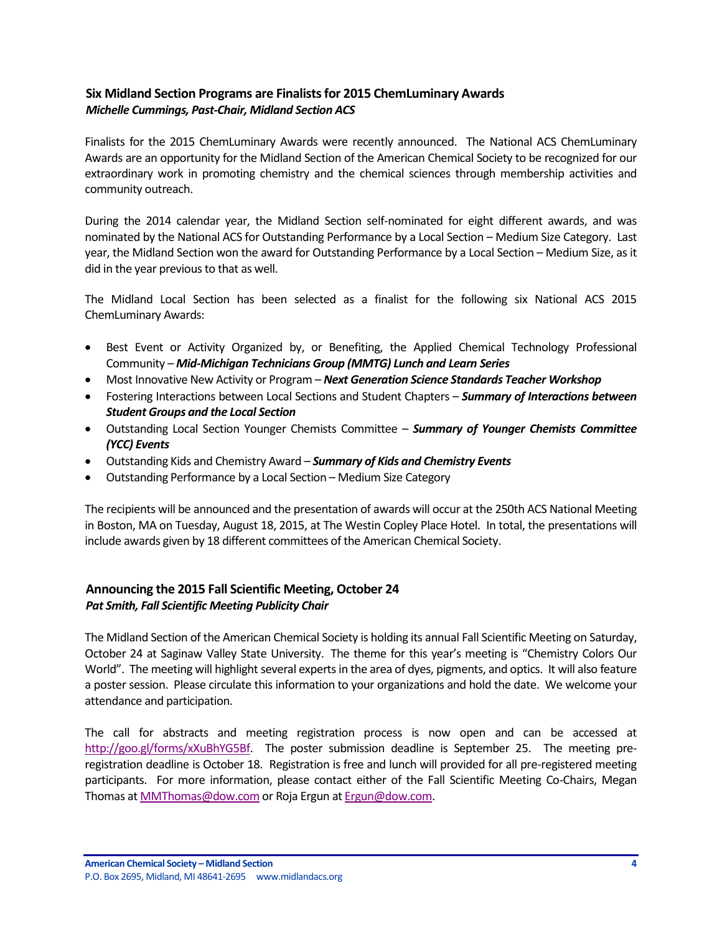#### <span id="page-3-0"></span>**Six Midland Section Programs are Finalists for 2015 ChemLuminary Awards** *Michelle Cummings, Past-Chair, Midland Section ACS*

Finalists for the 2015 ChemLuminary Awards were recently announced. The National ACS ChemLuminary Awards are an opportunity for the Midland Section of the American Chemical Society to be recognized for our extraordinary work in promoting chemistry and the chemical sciences through membership activities and community outreach.

During the 2014 calendar year, the Midland Section self-nominated for eight different awards, and was nominated by the National ACS for Outstanding Performance by a Local Section – Medium Size Category. Last year, the Midland Section won the award for Outstanding Performance by a Local Section – Medium Size, as it did in the year previous to that as well.

The Midland Local Section has been selected as a finalist for the following six National ACS 2015 ChemLuminary Awards:

- Best Event or Activity Organized by, or Benefiting, the Applied Chemical Technology Professional Community – *Mid-Michigan Technicians Group (MMTG) Lunch and Learn Series*
- Most Innovative New Activity or Program *Next Generation Science Standards Teacher Workshop*
- Fostering Interactions between Local Sections and Student Chapters *Summary of Interactions between Student Groups and the Local Section*
- Outstanding Local Section Younger Chemists Committee *Summary of Younger Chemists Committee (YCC) Events*
- Outstanding Kids and Chemistry Award *Summary of Kids and Chemistry Events*
- Outstanding Performance by a Local Section Medium Size Category

The recipients will be announced and the presentation of awards will occur at the 250th ACS National Meeting in Boston, MA on Tuesday, August 18, 2015, at The Westin Copley Place Hotel. In total, the presentations will include awards given by 18 different committees of the American Chemical Society.

#### <span id="page-3-1"></span>**Announcing the 2015 Fall Scientific Meeting, October 24** *Pat Smith, Fall Scientific Meeting Publicity Chair*

The Midland Section of the American Chemical Society is holding its annual Fall Scientific Meeting on Saturday, October 24 at Saginaw Valley State University. The theme for this year's meeting is "Chemistry Colors Our World". The meeting will highlight several experts in the area of dyes, pigments, and optics. It will also feature a poster session. Please circulate this information to your organizations and hold the date. We welcome your attendance and participation.

The call for abstracts and meeting registration process is now open and can be accessed at [http://goo.gl/forms/xXuBhYG5Bf.](http://goo.gl/forms/xXuBhYG5Bf) The poster submission deadline is September 25. The meeting preregistration deadline is October 18. Registration is free and lunch will provided for all pre-registered meeting participants. For more information, please contact either of the Fall Scientific Meeting Co-Chairs, Megan Thomas a[t MMThomas@dow.com](mailto:MMThomas@dow.com) or Roja Ergun a[t Ergun@dow.com.](mailto:Ergun@dow.com)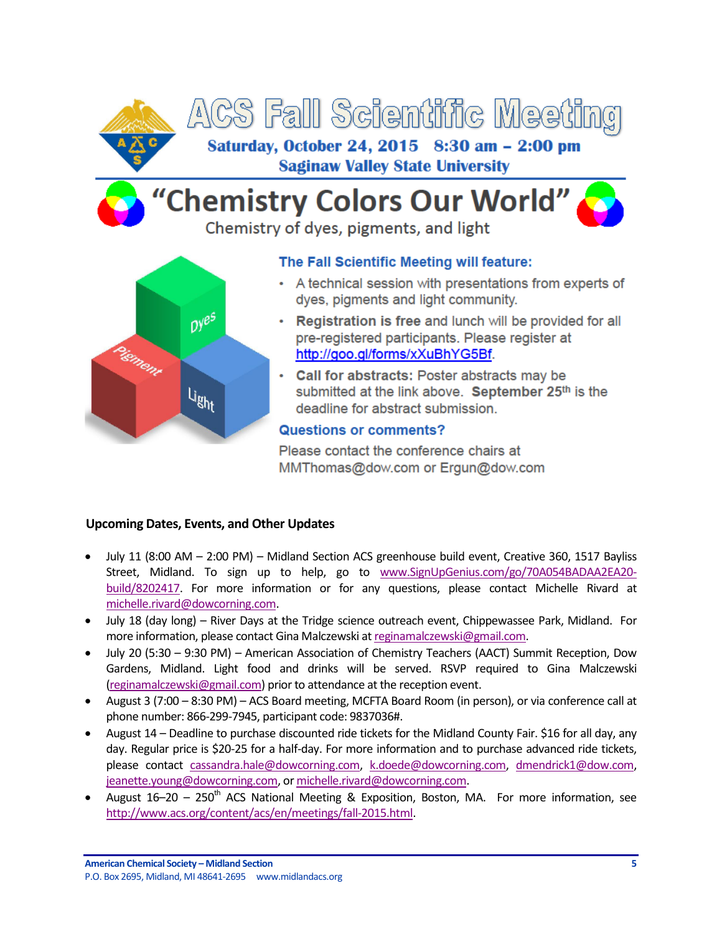

# "Chemistry Colors Our World"

Chemistry of dyes, pigments, and light



### The Fall Scientific Meeting will feature:

- A technical session with presentations from experts of dyes, pigments and light community.
- Registration is free and lunch will be provided for all pre-registered participants. Please register at http://goo.gl/forms/xXuBhYG5Bf.
- Call for abstracts: Poster abstracts may be submitted at the link above. September 25th is the deadline for abstract submission.

#### **Questions or comments?**

Please contact the conference chairs at MMThomas@dow.com or Ergun@dow.com

#### <span id="page-4-0"></span>**Upcoming Dates, Events, and Other Updates**

- July 11 (8:00 AM 2:00 PM) Midland Section ACS greenhouse build event, Creative 360, 1517 Bayliss Street, Midland. To sign up to help, go to [www.SignUpGenius.com/go/70A054BADAA2EA20](http://www.signupgenius.com/go/70A054BADAA2EA20-build/8202417) [build/8202417.](http://www.signupgenius.com/go/70A054BADAA2EA20-build/8202417) For more information or for any questions, please contact Michelle Rivard at [michelle.rivard@dowcorning.com.](mailto:michelle.rivard@dowcorning.com)
- July 18 (day long) River Days at the Tridge science outreach event, Chippewassee Park, Midland. For more information, please contact Gina Malczewski a[t reginamalczewski@gmail.com.](mailto:reginamalczewski@gmail.com)
- July 20 (5:30 9:30 PM) American Association of Chemistry Teachers (AACT) Summit Reception, Dow Gardens, Midland. Light food and drinks will be served. RSVP required to Gina Malczewski [\(reginamalczewski@gmail.com\)](mailto:reginamalczewski@gmail.com) prior to attendance at the reception event.
- August 3 (7:00 8:30 PM) ACS Board meeting, MCFTA Board Room (in person), or via conference call at phone number: 866-299-7945, participant code: 9837036#.
- August 14 Deadline to purchase discounted ride tickets for the Midland County Fair. \$16 for all day, any day. Regular price is \$20-25 for a half-day. For more information and to purchase advanced ride tickets, please contact [cassandra.hale@dowcorning.com,](mailto:cassandra.hale@dowcorning.com) [k.doede@dowcorning.com,](mailto:k.doede@dowcorning.com) [dmendrick1@dow.com,](mailto:dmendrick1@dow.com) [jeanette.young@dowcorning.com,](mailto:jeanette.young@dowcorning.com) o[r michelle.rivard@dowcorning.com.](mailto:michelle.rivard@dowcorning.com)
- August  $16-20 250$ <sup>th</sup> ACS National Meeting & Exposition, Boston, MA. For more information, see [http://www.acs.org/content/acs/en/meetings/fall-2015.html.](http://www.acs.org/content/acs/en/meetings/fall-2015.html)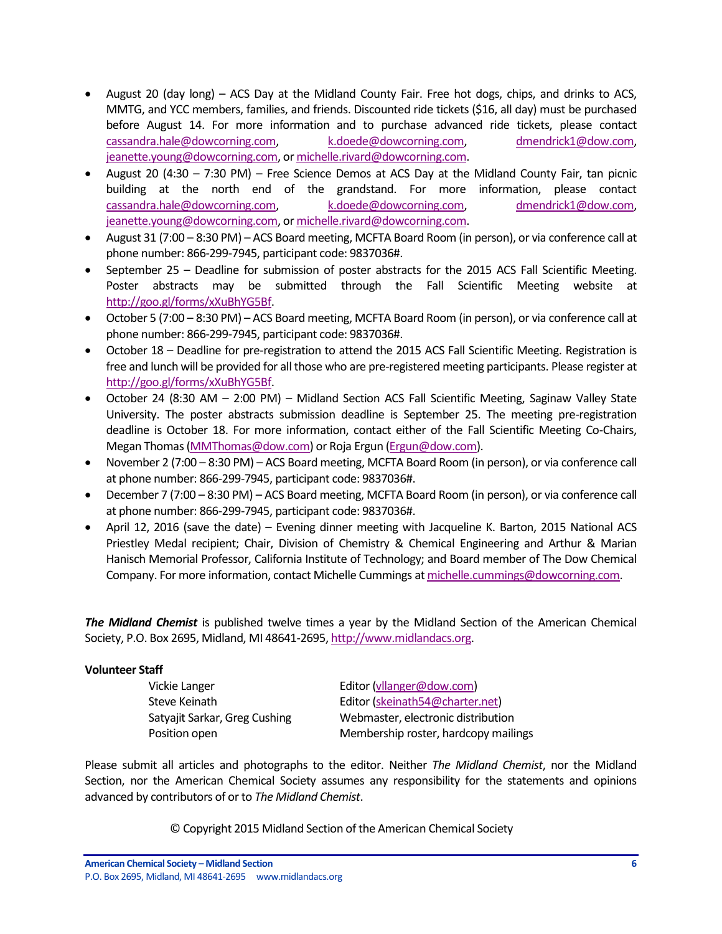- August 20 (day long) ACS Day at the Midland County Fair. Free hot dogs, chips, and drinks to ACS, MMTG, and YCC members, families, and friends. Discounted ride tickets (\$16, all day) must be purchased before August 14. For more information and to purchase advanced ride tickets, please contact [cassandra.hale@dowcorning.com,](mailto:cassandra.hale@dowcorning.com) [k.doede@dowcorning.com,](mailto:k.doede@dowcorning.com) [dmendrick1@dow.com,](mailto:dmendrick1@dow.com) [jeanette.young@dowcorning.com,](mailto:jeanette.young@dowcorning.com) o[r michelle.rivard@dowcorning.com.](mailto:michelle.rivard@dowcorning.com)
- August 20 (4:30 7:30 PM) Free Science Demos at ACS Day at the Midland County Fair, tan picnic building at the north end of the grandstand. For more information, please contact [cassandra.hale@dowcorning.com,](mailto:cassandra.hale@dowcorning.com) [k.doede@dowcorning.com,](mailto:k.doede@dowcorning.com) [dmendrick1@dow.com,](mailto:dmendrick1@dow.com) [jeanette.young@dowcorning.com,](mailto:jeanette.young@dowcorning.com) o[r michelle.rivard@dowcorning.com.](mailto:michelle.rivard@dowcorning.com)
- August 31 (7:00 8:30 PM) ACS Board meeting, MCFTA Board Room (in person), or via conference call at phone number: 866-299-7945, participant code: 9837036#.
- September 25 Deadline for submission of poster abstracts for the 2015 ACS Fall Scientific Meeting. Poster abstracts may be submitted through the Fall Scientific Meeting website at [http://goo.gl/forms/xXuBhYG5Bf.](http://goo.gl/forms/xXuBhYG5Bf)
- October 5 (7:00 8:30 PM) ACS Board meeting, MCFTA Board Room (in person), or via conference call at phone number: 866-299-7945, participant code: 9837036#.
- October 18 Deadline for pre-registration to attend the 2015 ACS Fall Scientific Meeting. Registration is free and lunch will be provided for all those who are pre-registered meeting participants. Please register at [http://goo.gl/forms/xXuBhYG5Bf.](http://goo.gl/forms/xXuBhYG5Bf)
- October 24 (8:30 AM 2:00 PM) Midland Section ACS Fall Scientific Meeting, Saginaw Valley State University. The poster abstracts submission deadline is September 25. The meeting pre-registration deadline is October 18. For more information, contact either of the Fall Scientific Meeting Co-Chairs, Megan Thomas [\(MMThomas@dow.com\)](mailto:MMThomas@dow.com) or Roja Ergun [\(Ergun@dow.com\)](mailto:Ergun@dow.com).
- November 2 (7:00 8:30 PM) ACS Board meeting, MCFTA Board Room (in person), or via conference call at phone number: 866-299-7945, participant code: 9837036#.
- December 7 (7:00 8:30 PM) ACS Board meeting, MCFTA Board Room (in person), or via conference call at phone number: 866-299-7945, participant code: 9837036#.
- April 12, 2016 (save the date) Evening dinner meeting with Jacqueline K. Barton, 2015 National ACS Priestley Medal recipient; Chair, Division of Chemistry & Chemical Engineering and Arthur & Marian Hanisch Memorial Professor, California Institute of Technology; and Board member of The Dow Chemical Company. For more information, contact Michelle Cummings a[t michelle.cummings@dowcorning.com.](mailto:michelle.cummings@dowcorning.com)

*The Midland Chemist* is published twelve times a year by the Midland Section of the American Chemical Society, P.O. Box 2695, Midland, MI 48641-2695[, http://www.midlandacs.org.](http://www.midlandacs.org/)

#### **Volunteer Staff**

Vickie Langer **Editor** Editor [\(vllanger@dow.com\)](mailto:vllanger@dow.com)

Steve Keinath Editor [\(skeinath54@charter.net\)](mailto:skeinath54@charter.net) Satyajit Sarkar, Greg Cushing Webmaster, electronic distribution Position open Membership roster, hardcopy mailings

Please submit all articles and photographs to the editor. Neither *The Midland Chemist*, nor the Midland Section, nor the American Chemical Society assumes any responsibility for the statements and opinions advanced by contributors of or to *The Midland Chemist*.

© Copyright 2015 Midland Section of the American Chemical Society